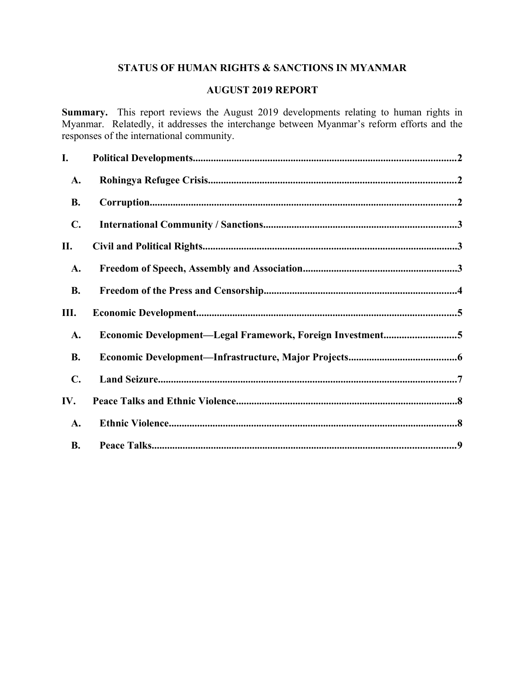# **STATUS OF HUMAN RIGHTS & SANCTIONS IN MYANMAR**

# **AUGUST 2019 REPORT**

**Summary.** This report reviews the August 2019 developments relating to human rights in Myanmar. Relatedly, it addresses the interchange between Myanmar's reform efforts and the responses of the international community.

| I.             |                                                           |
|----------------|-----------------------------------------------------------|
| A.             |                                                           |
| <b>B.</b>      |                                                           |
| $\mathbf{C}$ . |                                                           |
| П.             |                                                           |
| A.             |                                                           |
| <b>B.</b>      |                                                           |
| Ш.             |                                                           |
| A.             | Economic Development-Legal Framework, Foreign Investment5 |
| <b>B.</b>      |                                                           |
| $\mathbf{C}$ . |                                                           |
| IV.            |                                                           |
| A.             |                                                           |
| <b>B.</b>      |                                                           |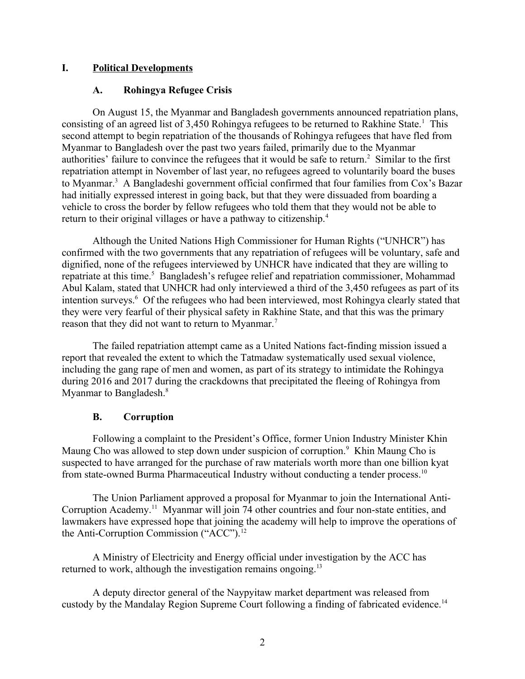# **I. Political Developments**

### <span id="page-1-2"></span><span id="page-1-0"></span>**A. Rohingya Refugee Crisis**

On August 15, the Myanmar and Bangladesh governments announced repatriation plans, consisting of an agreed list of 3,450 Rohingya refugees to be returned to Rakhine State.<sup>1</sup> This second attempt to begin repatriation of the thousands of Rohingya refugees that have fled from Myanmar to Bangladesh over the past two years failed, primarily due to the Myanmar authorities' failure to convince the refugees that it would be safe to return.<sup>2</sup> Similar to the first repatriation attempt in November of last year, no refugees agreed to voluntarily board the buses to Myanmar.<sup>3</sup> A Bangladeshi government official confirmed that four families from Cox's Bazar had initially expressed interest in going back, but that they were dissuaded from boarding a vehicle to cross the border by fellow refugees who told them that they would not be able to return to their original villages or have a pathway to citizenship.<sup>4</sup>

Although the United Nations High Commissioner for Human Rights ("UNHCR") has confirmed with the two governments that any repatriation of refugees will be voluntary, safe and dignified, none of the refugees interviewed by UNHCR have indicated that they are willing to repatriate at this time.<sup>5</sup> Bangladesh's refugee relief and repatriation commissioner, Mohammad Abul Kalam, stated that UNHCR had only interviewed a third of the 3,450 refugees as part of its intention surveys.<sup>6</sup> Of the refugees who had been interviewed, most Rohingya clearly stated that they were very fearful of their physical safety in Rakhine State, and that this was the primary reason that they did not want to return to Myanmar.<sup>7</sup>

The failed repatriation attempt came as a United Nations fact-finding mission issued a report that revealed the extent to which the Tatmadaw systematically used sexual violence, including the gang rape of men and women, as part of its strategy to intimidate the Rohingya during 2016 and 2017 during the crackdowns that precipitated the fleeing of Rohingya from Myanmar to Bangladesh.<sup>8</sup>

### <span id="page-1-1"></span>**B. Corruption**

Following a complaint to the President's Office, former Union Industry Minister Khin Maung Cho was allowed to step down under suspicion of corruption.<sup>9</sup> Khin Maung Cho is suspected to have arranged for the purchase of raw materials worth more than one billion kyat from state-owned Burma Pharmaceutical Industry without conducting a tender process.<sup>10</sup>

The Union Parliament approved a proposal for Myanmar to join the International Anti-Corruption Academy.<sup>11</sup> Myanmar will join 74 other countries and four non-state entities, and lawmakers have expressed hope that joining the academy will help to improve the operations of the Anti-Corruption Commission ("ACC").<sup>12</sup>

A Ministry of Electricity and Energy official under investigation by the ACC has returned to work, although the investigation remains ongoing.<sup>13</sup>

A deputy director general of the Naypyitaw market department was released from custody by the Mandalay Region Supreme Court following a finding of fabricated evidence.<sup>14</sup>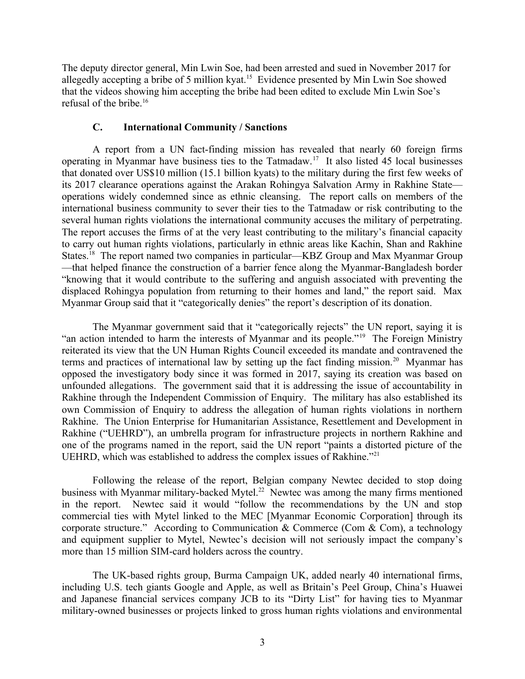The deputy director general, Min Lwin Soe, had been arrested and sued in November 2017 for allegedly accepting a bribe of 5 million kyat.<sup>15</sup> Evidence presented by Min Lwin Soe showed that the videos showing him accepting the bribe had been edited to exclude Min Lwin Soe's refusal of the bribe.<sup>16</sup>

### <span id="page-2-0"></span>**C. International Community / Sanctions**

A report from a UN fact-finding mission has revealed that nearly 60 foreign firms operating in Myanmar have business ties to the Tatmadaw.<sup>17</sup> It also listed 45 local businesses that donated over US\$10 million (15.1 billion kyats) to the military during the first few weeks of its 2017 clearance operations against the Arakan Rohingya Salvation Army in Rakhine State operations widely condemned since as ethnic cleansing. The report calls on members of the international business community to sever their ties to the Tatmadaw or risk contributing to the several human rights violations the international community accuses the military of perpetrating. The report accuses the firms of at the very least contributing to the military's financial capacity to carry out human rights violations, particularly in ethnic areas like Kachin, Shan and Rakhine States.<sup>18</sup> The report named two companies in particular—KBZ Group and Max Myanmar Group —that helped finance the construction of a barrier fence along the Myanmar-Bangladesh border "knowing that it would contribute to the suffering and anguish associated with preventing the displaced Rohingya population from returning to their homes and land," the report said. Max Myanmar Group said that it "categorically denies" the report's description of its donation.

The Myanmar government said that it "categorically rejects" the UN report, saying it is "an action intended to harm the interests of Myanmar and its people."<sup>19</sup> The Foreign Ministry reiterated its view that the UN Human Rights Council exceeded its mandate and contravened the terms and practices of international law by setting up the fact finding mission.<sup>20</sup> Myanmar has opposed the investigatory body since it was formed in 2017, saying its creation was based on unfounded allegations. The government said that it is addressing the issue of accountability in Rakhine through the Independent Commission of Enquiry. The military has also established its own Commission of Enquiry to address the allegation of human rights violations in northern Rakhine. The Union Enterprise for Humanitarian Assistance, Resettlement and Development in Rakhine ("UEHRD"), an umbrella program for infrastructure projects in northern Rakhine and one of the programs named in the report, said the UN report "paints a distorted picture of the UEHRD, which was established to address the complex issues of Rakhine."<sup>21</sup>

Following the release of the report, Belgian company Newtec decided to stop doing business with Myanmar military-backed Mytel.<sup>22</sup> Newtec was among the many firms mentioned in the report. Newtec said it would "follow the recommendations by the UN and stop commercial ties with Mytel linked to the MEC [Myanmar Economic Corporation] through its corporate structure." According to Communication & Commerce (Com & Com), a technology and equipment supplier to Mytel, Newtec's decision will not seriously impact the company's more than 15 million SIM-card holders across the country.

The UK-based rights group, Burma Campaign UK, added nearly 40 international firms, including U.S. tech giants Google and Apple, as well as Britain's Peel Group, China's Huawei and Japanese financial services company JCB to its "Dirty List" for having ties to Myanmar military-owned businesses or projects linked to gross human rights violations and environmental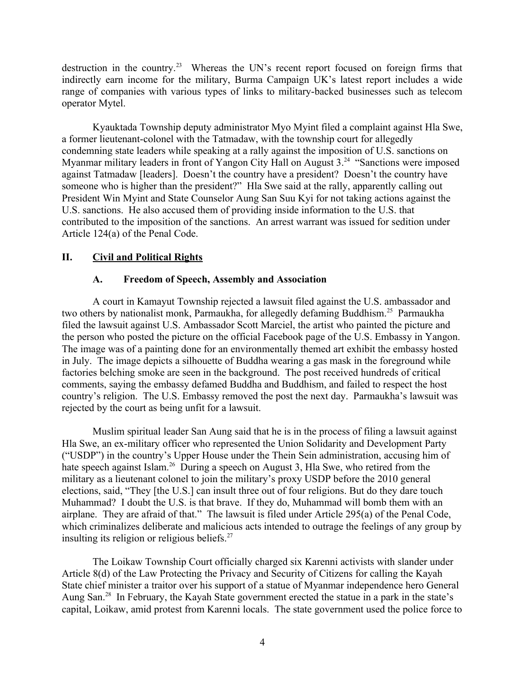destruction in the country.<sup>23</sup> Whereas the UN's recent report focused on foreign firms that indirectly earn income for the military, Burma Campaign UK's latest report includes a wide range of companies with various types of links to military-backed businesses such as telecom operator Mytel.

Kyauktada Township deputy administrator Myo Myint filed a complaint against Hla Swe, a former lieutenant-colonel with the Tatmadaw, with the township court for allegedly condemning state leaders while speaking at a rally against the imposition of U.S. sanctions on Myanmar military leaders in front of Yangon City Hall on August 3.<sup>24</sup> "Sanctions were imposed against Tatmadaw [leaders]. Doesn't the country have a president? Doesn't the country have someone who is higher than the president?" Hla Swe said at the rally, apparently calling out President Win Myint and State Counselor Aung San Suu Kyi for not taking actions against the U.S. sanctions. He also accused them of providing inside information to the U.S. that contributed to the imposition of the sanctions. An arrest warrant was issued for sedition under Article 124(a) of the Penal Code.

# **II. Civil and Political Rights**

# <span id="page-3-1"></span><span id="page-3-0"></span>**A. Freedom of Speech, Assembly and Association**

A court in Kamayut Township rejected a lawsuit filed against the U.S. ambassador and two others by nationalist monk, Parmaukha, for allegedly defaming Buddhism.<sup>25</sup> Parmaukha filed the lawsuit against U.S. Ambassador Scott Marciel, the artist who painted the picture and the person who posted the picture on the official Facebook page of the U.S. Embassy in Yangon. The image was of a painting done for an environmentally themed art exhibit the embassy hosted in July. The image depicts a silhouette of Buddha wearing a gas mask in the foreground while factories belching smoke are seen in the background. The post received hundreds of critical comments, saying the embassy defamed Buddha and Buddhism, and failed to respect the host country's religion. The U.S. Embassy removed the post the next day. Parmaukha's lawsuit was rejected by the court as being unfit for a lawsuit.

Muslim spiritual leader San Aung said that he is in the process of filing a lawsuit against Hla Swe, an ex-military officer who represented the Union Solidarity and Development Party ("USDP") in the country's Upper House under the Thein Sein administration, accusing him of hate speech against Islam.<sup>26</sup> During a speech on August 3, Hla Swe, who retired from the military as a lieutenant colonel to join the military's proxy USDP before the 2010 general elections, said, "They [the U.S.] can insult three out of four religions. But do they dare touch Muhammad? I doubt the U.S. is that brave. If they do, Muhammad will bomb them with an airplane. They are afraid of that." The lawsuit is filed under Article 295(a) of the Penal Code, which criminalizes deliberate and malicious acts intended to outrage the feelings of any group by insulting its religion or religious beliefs.<sup>27</sup>

The Loikaw Township Court officially charged six Karenni activists with slander under Article 8(d) of the Law Protecting the Privacy and Security of Citizens for calling the Kayah State chief minister a traitor over his support of a statue of Myanmar independence hero General Aung San.<sup>28</sup> In February, the Kayah State government erected the statue in a park in the state's capital, Loikaw, amid protest from Karenni locals. The state government used the police force to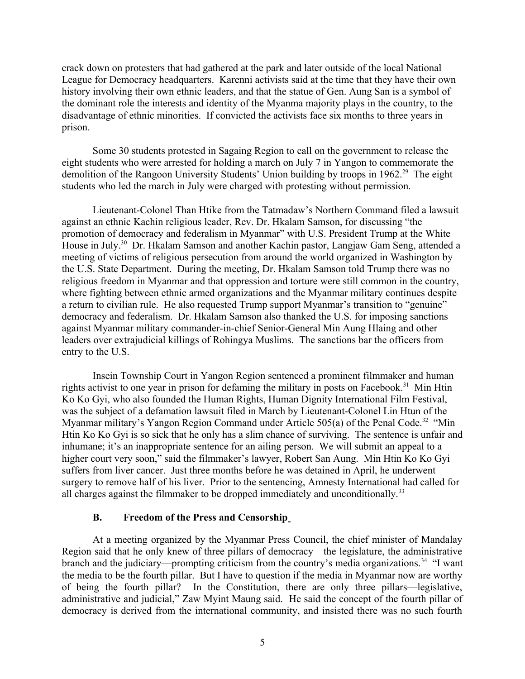crack down on protesters that had gathered at the park and later outside of the local National League for Democracy headquarters. Karenni activists said at the time that they have their own history involving their own ethnic leaders, and that the statue of Gen. Aung San is a symbol of the dominant role the interests and identity of the Myanma majority plays in the country, to the disadvantage of ethnic minorities. If convicted the activists face six months to three years in prison.

Some 30 students protested in Sagaing Region to call on the government to release the eight students who were arrested for holding a march on July 7 in Yangon to commemorate the demolition of the Rangoon University Students' Union building by troops in 1962.<sup>29</sup> The eight students who led the march in July were charged with protesting without permission.

Lieutenant-Colonel Than Htike from the Tatmadaw's Northern Command filed a lawsuit against an ethnic Kachin religious leader, Rev. Dr. Hkalam Samson, for discussing "the promotion of democracy and federalism in Myanmar" with U.S. President Trump at the White House in July.<sup>30</sup> Dr. Hkalam Samson and another Kachin pastor, Langjaw Gam Seng, attended a meeting of victims of religious persecution from around the world organized in Washington by the U.S. State Department. During the meeting, Dr. Hkalam Samson told Trump there was no religious freedom in Myanmar and that oppression and torture were still common in the country, where fighting between ethnic armed organizations and the Myanmar military continues despite a return to civilian rule. He also requested Trump support Myanmar's transition to "genuine" democracy and federalism. Dr. Hkalam Samson also thanked the U.S. for imposing sanctions against Myanmar military commander-in-chief Senior-General Min Aung Hlaing and other leaders over extrajudicial killings of Rohingya Muslims. The sanctions bar the officers from entry to the U.S.

Insein Township Court in Yangon Region sentenced a prominent filmmaker and human rights activist to one year in prison for defaming the military in posts on Facebook.<sup>31</sup> Min Htin Ko Ko Gyi, who also founded the Human Rights, Human Dignity International Film Festival, was the subject of a defamation lawsuit filed in March by Lieutenant-Colonel Lin Htun of the Myanmar military's Yangon Region Command under Article 505(a) of the Penal Code.<sup>32</sup> "Min Htin Ko Ko Gyi is so sick that he only has a slim chance of surviving. The sentence is unfair and inhumane; it's an inappropriate sentence for an ailing person. We will submit an appeal to a higher court very soon," said the filmmaker's lawyer, Robert San Aung. Min Htin Ko Ko Gyi suffers from liver cancer. Just three months before he was detained in April, he underwent surgery to remove half of his liver. Prior to the sentencing, Amnesty International had called for all charges against the filmmaker to be dropped immediately and unconditionally.<sup>33</sup>

#### <span id="page-4-0"></span>**B. Freedom of the Press and Censorship**

At a meeting organized by the Myanmar Press Council, the chief minister of Mandalay Region said that he only knew of three pillars of democracy—the legislature, the administrative branch and the judiciary—prompting criticism from the country's media organizations.<sup>34</sup> "I want the media to be the fourth pillar. But I have to question if the media in Myanmar now are worthy of being the fourth pillar? In the Constitution, there are only three pillars—legislative, administrative and judicial," Zaw Myint Maung said. He said the concept of the fourth pillar of democracy is derived from the international community, and insisted there was no such fourth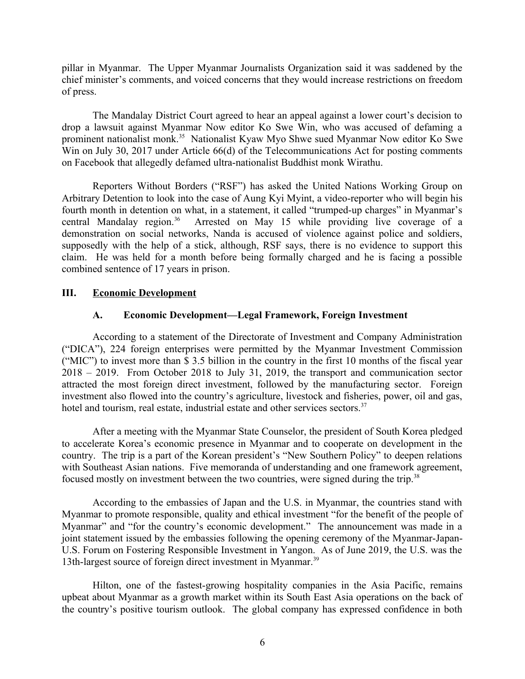pillar in Myanmar. The Upper Myanmar Journalists Organization said it was saddened by the chief minister's comments, and voiced concerns that they would increase restrictions on freedom of press.

The Mandalay District Court agreed to hear an appeal against a lower court's decision to drop a lawsuit against Myanmar Now editor Ko Swe Win, who was accused of defaming a prominent nationalist monk.<sup>35</sup> Nationalist Kyaw Myo Shwe sued Myanmar Now editor Ko Swe Win on July 30, 2017 under Article 66(d) of the Telecommunications Act for posting comments on Facebook that allegedly defamed ultra-nationalist Buddhist monk Wirathu.

Reporters Without Borders ("RSF") has asked the United Nations Working Group on Arbitrary Detention to look into the case of Aung Kyi Myint, a video-reporter who will begin his fourth month in detention on what, in a statement, it called "trumped-up charges" in Myanmar's central Mandalay region.<sup>36</sup> Arrested on May 15 while providing live coverage of a demonstration on social networks, Nanda is accused of violence against police and soldiers, supposedly with the help of a stick, although, RSF says, there is no evidence to support this claim. He was held for a month before being formally charged and he is facing a possible combined sentence of 17 years in prison.

### **III. Economic Development**

#### <span id="page-5-1"></span><span id="page-5-0"></span>**A. Economic Development—Legal Framework, Foreign Investment**

According to a statement of the Directorate of Investment and Company Administration ("DICA"), 224 foreign enterprises were permitted by the Myanmar Investment Commission ("MIC") to invest more than \$ 3.5 billion in the country in the first 10 months of the fiscal year 2018 – 2019. From October 2018 to July 31, 2019, the transport and communication sector attracted the most foreign direct investment, followed by the manufacturing sector. Foreign investment also flowed into the country's agriculture, livestock and fisheries, power, oil and gas, hotel and tourism, real estate, industrial estate and other services sectors.<sup>37</sup>

After a meeting with the Myanmar State Counselor, the president of South Korea pledged to accelerate Korea's economic presence in Myanmar and to cooperate on development in the country. The trip is a part of the Korean president's "New Southern Policy" to deepen relations with Southeast Asian nations. Five memoranda of understanding and one framework agreement, focused mostly on investment between the two countries, were signed during the trip.<sup>38</sup>

According to the embassies of Japan and the U.S. in Myanmar, the countries stand with Myanmar to promote responsible, quality and ethical investment "for the benefit of the people of Myanmar" and "for the country's economic development." The announcement was made in a joint statement issued by the embassies following the opening ceremony of the Myanmar-Japan-U.S. Forum on Fostering Responsible Investment in Yangon. As of June 2019, the U.S. was the 13th-largest source of foreign direct investment in Myanmar.<sup>39</sup>

Hilton, one of the fastest-growing hospitality companies in the Asia Pacific, remains upbeat about Myanmar as a growth market within its South East Asia operations on the back of the country's positive tourism outlook. The global company has expressed confidence in both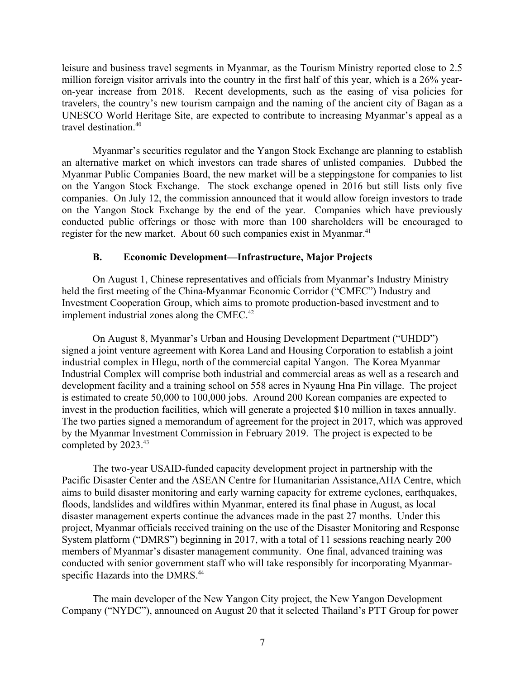leisure and business travel segments in Myanmar, as the Tourism Ministry reported close to 2.5 million foreign visitor arrivals into the country in the first half of this year, which is a 26% yearon-year increase from 2018. Recent developments, such as the easing of visa policies for travelers, the country's new tourism campaign and the naming of the ancient city of Bagan as a UNESCO World Heritage Site, are expected to contribute to increasing Myanmar's appeal as a travel destination.<sup>40</sup>

Myanmar's securities regulator and the Yangon Stock Exchange are planning to establish an alternative market on which investors can trade shares of unlisted companies. Dubbed the Myanmar Public Companies Board, the new market will be a steppingstone for companies to list on the Yangon Stock Exchange. The stock exchange opened in 2016 but still lists only five companies. On July 12, the commission announced that it would allow foreign investors to trade on the Yangon Stock Exchange by the end of the year. Companies which have previously conducted public offerings or those with more than 100 shareholders will be encouraged to register for the new market. About 60 such companies exist in Myanmar.<sup>41</sup>

# <span id="page-6-0"></span>**B. Economic Development—Infrastructure, Major Projects**

On August 1, Chinese representatives and officials from Myanmar's Industry Ministry held the first meeting of the China-Myanmar Economic Corridor ("CMEC") Industry and Investment Cooperation Group, which aims to promote production-based investment and to implement industrial zones along the CMEC.<sup>42</sup>

On August 8, Myanmar's Urban and Housing Development Department ("UHDD") signed a joint venture agreement with Korea Land and Housing Corporation to establish a joint industrial complex in Hlegu, north of the commercial capital Yangon. The Korea Myanmar Industrial Complex will comprise both industrial and commercial areas as well as a research and development facility and a training school on 558 acres in Nyaung Hna Pin village. The project is estimated to create 50,000 to 100,000 jobs. Around 200 Korean companies are expected to invest in the production facilities, which will generate a projected \$10 million in taxes annually. The two parties signed a memorandum of agreement for the project in 2017, which was approved by the Myanmar Investment Commission in February 2019. The project is expected to be completed by 2023.<sup>43</sup>

The two-year USAID-funded capacity development project in partnership with the Pacific Disaster Center and the ASEAN Centre for Humanitarian Assistance,AHA Centre, which aims to build disaster monitoring and early warning capacity for extreme cyclones, earthquakes, floods, landslides and wildfires within Myanmar, entered its final phase in August, as local disaster management experts continue the advances made in the past 27 months. Under this project, Myanmar officials received training on the use of the Disaster Monitoring and Response System platform ("DMRS") beginning in 2017, with a total of 11 sessions reaching nearly 200 members of Myanmar's disaster management community. One final, advanced training was conducted with senior government staff who will take responsibly for incorporating Myanmarspecific Hazards into the DMRS.<sup>44</sup>

The main developer of the New Yangon City project, the New Yangon Development Company ("NYDC"), announced on August 20 that it selected Thailand's PTT Group for power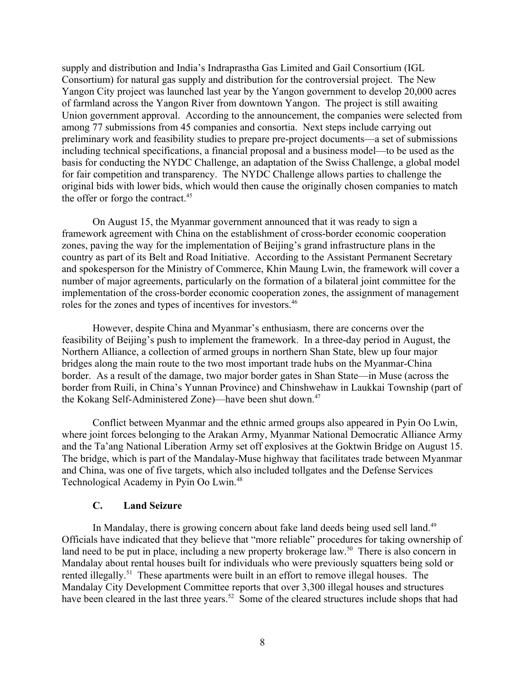supply and distribution and India's Indraprastha Gas Limited and Gail Consortium (IGL Consortium) for natural gas supply and distribution for the controversial project. The New Yangon City project was launched last year by the Yangon government to develop 20,000 acres of farmland across the Yangon River from downtown Yangon. The project is still awaiting Union government approval. According to the announcement, the companies were selected from among 77 submissions from 45 companies and consortia. Next steps include carrying out preliminary work and feasibility studies to prepare pre-project documents—a set of submissions including technical specifications, a financial proposal and a business model—to be used as the basis for conducting the NYDC Challenge, an adaptation of the Swiss Challenge, a global model for fair competition and transparency. The NYDC Challenge allows parties to challenge the original bids with lower bids, which would then cause the originally chosen companies to match the offer or forgo the contract.<sup>45</sup>

On August 15, the Myanmar government announced that it was ready to sign a framework agreement with China on the establishment of cross-border economic cooperation zones, paving the way for the implementation of Beijing's grand infrastructure plans in the country as part of its Belt and Road Initiative. According to the Assistant Permanent Secretary and spokesperson for the Ministry of Commerce, Khin Maung Lwin, the framework will cover a number of major agreements, particularly on the formation of a bilateral joint committee for the implementation of the cross-border economic cooperation zones, the assignment of management roles for the zones and types of incentives for investors.<sup>46</sup>

However, despite China and Myanmar's enthusiasm, there are concerns over the feasibility of Beijing's push to implement the framework. In a three-day period in August, the Northern Alliance, a collection of armed groups in northern Shan State, blew up four major bridges along the main route to the two most important trade hubs on the Myanmar-China border. As a result of the damage, two major border gates in Shan State—in Muse (across the border from Ruili, in China's Yunnan Province) and Chinshwehaw in Laukkai Township (part of the Kokang Self-Administered Zone)—have been shut down.<sup>47</sup>

Conflict between Myanmar and the ethnic armed groups also appeared in Pyin Oo Lwin, where joint forces belonging to the Arakan Army, Myanmar National Democratic Alliance Army and the Ta'ang National Liberation Army set off explosives at the Goktwin Bridge on August 15. The bridge, which is part of the Mandalay-Muse highway that facilitates trade between Myanmar and China, was one of five targets, which also included tollgates and the Defense Services Technological Academy in Pyin Oo Lwin.<sup>48</sup>

### <span id="page-7-0"></span>**C. Land Seizure**

In Mandalay, there is growing concern about fake land deeds being used sell land.<sup>49</sup> Officials have indicated that they believe that "more reliable" procedures for taking ownership of land need to be put in place, including a new property brokerage law.<sup>50</sup> There is also concern in Mandalay about rental houses built for individuals who were previously squatters being sold or rented illegally.<sup>51</sup> These apartments were built in an effort to remove illegal houses. The Mandalay City Development Committee reports that over 3,300 illegal houses and structures have been cleared in the last three years.<sup>52</sup> Some of the cleared structures include shops that had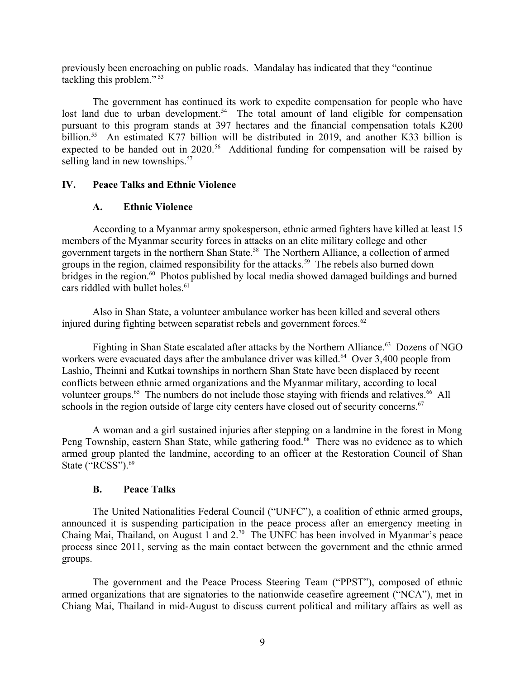previously been encroaching on public roads. Mandalay has indicated that they "continue tackling this problem." <sup>53</sup>

The government has continued its work to expedite compensation for people who have lost land due to urban development.<sup>54</sup> The total amount of land eligible for compensation pursuant to this program stands at 397 hectares and the financial compensation totals K200 billion.<sup>55</sup> An estimated K77 billion will be distributed in 2019, and another K33 billion is expected to be handed out in 2020.<sup>56</sup> Additional funding for compensation will be raised by selling land in new townships.<sup>57</sup>

# **IV. Peace Talks and Ethnic Violence**

# <span id="page-8-2"></span><span id="page-8-1"></span>**A. Ethnic Violence**

According to a Myanmar army spokesperson, ethnic armed fighters have killed at least 15 members of the Myanmar security forces in attacks on an elite military college and other government targets in the northern Shan State.<sup>58</sup> The Northern Alliance, a collection of armed groups in the region, claimed responsibility for the attacks.<sup>59</sup> The rebels also burned down bridges in the region.<sup>60</sup> Photos published by local media showed damaged buildings and burned cars riddled with bullet holes.<sup>61</sup>

Also in Shan State, a volunteer ambulance worker has been killed and several others injured during fighting between separatist rebels and government forces.<sup>62</sup>

Fighting in Shan State escalated after attacks by the Northern Alliance.<sup>63</sup> Dozens of NGO workers were evacuated days after the ambulance driver was killed.<sup>64</sup> Over 3,400 people from Lashio, Theinni and Kutkai townships in northern Shan State have been displaced by recent conflicts between ethnic armed organizations and the Myanmar military, according to local volunteer groups.<sup>65</sup> The numbers do not include those staying with friends and relatives.<sup>66</sup> All schools in the region outside of large city centers have closed out of security concerns.<sup>67</sup>

A woman and a girl sustained injuries after stepping on a landmine in the forest in Mong Peng Township, eastern Shan State, while gathering food.<sup>68</sup> There was no evidence as to which armed group planted the landmine, according to an officer at the Restoration Council of Shan State ("RCSS").<sup>69</sup>

### <span id="page-8-0"></span>**B. Peace Talks**

The United Nationalities Federal Council ("UNFC"), a coalition of ethnic armed groups, announced it is suspending participation in the peace process after an emergency meeting in Chaing Mai, Thailand, on August 1 and 2.<sup>70</sup> The UNFC has been involved in Myanmar's peace process since 2011, serving as the main contact between the government and the ethnic armed groups.

The government and the Peace Process Steering Team ("PPST"), composed of ethnic armed organizations that are signatories to the nationwide ceasefire agreement ("NCA"), met in Chiang Mai, Thailand in mid-August to discuss current political and military affairs as well as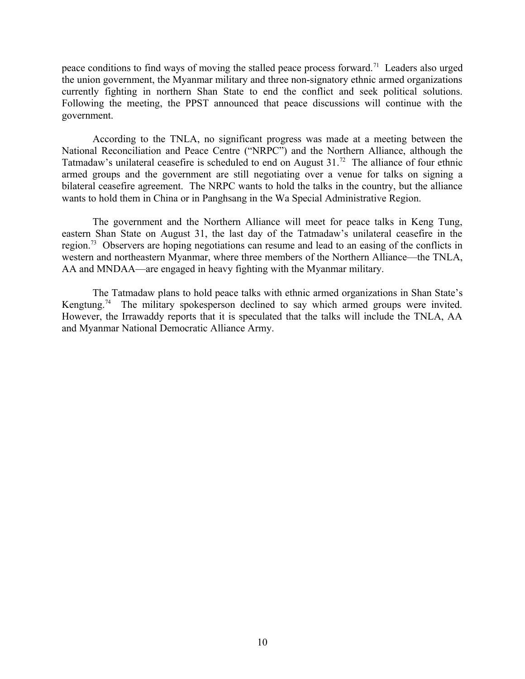peace conditions to find ways of moving the stalled peace process forward.<sup>71</sup> Leaders also urged the union government, the Myanmar military and three non-signatory ethnic armed organizations currently fighting in northern Shan State to end the conflict and seek political solutions. Following the meeting, the PPST announced that peace discussions will continue with the government.

According to the TNLA, no significant progress was made at a meeting between the National Reconciliation and Peace Centre ("NRPC") and the Northern Alliance, although the Tatmadaw's unilateral ceasefire is scheduled to end on August  $31<sup>72</sup>$  The alliance of four ethnic armed groups and the government are still negotiating over a venue for talks on signing a bilateral ceasefire agreement. The NRPC wants to hold the talks in the country, but the alliance wants to hold them in China or in Panghsang in the Wa Special Administrative Region.

The government and the Northern Alliance will meet for peace talks in Keng Tung, eastern Shan State on August 31, the last day of the Tatmadaw's unilateral ceasefire in the region.<sup>73</sup> Observers are hoping negotiations can resume and lead to an easing of the conflicts in western and northeastern Myanmar, where three members of the Northern Alliance—the TNLA, AA and MNDAA—are engaged in heavy fighting with the Myanmar military.

The Tatmadaw plans to hold peace talks with ethnic armed organizations in Shan State's Kengtung.<sup>74</sup> The military spokesperson declined to say which armed groups were invited. However, the Irrawaddy reports that it is speculated that the talks will include the TNLA, AA and Myanmar National Democratic Alliance Army.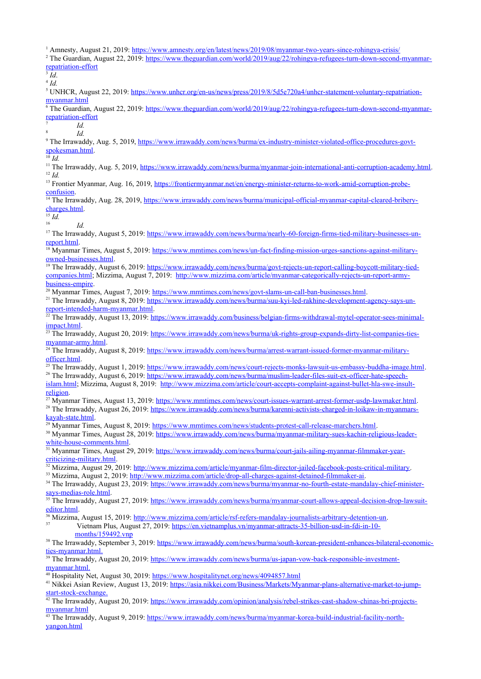<sup>2</sup> The Irrawaddy, August 13, 2019: [https://www.irrawaddy.com/business/belgian-firms-withdrawal-mytel-operator-sees-minimal](https://www.irrawaddy.com/business/belgian-firms-withdrawal-mytel-operator-sees-minimal-impact.html)[impact.html](https://www.irrawaddy.com/business/belgian-firms-withdrawal-mytel-operator-sees-minimal-impact.html).

 $^{23}$  The Irrawaddy, August 20, 2019: [https://www.irrawaddy.com/news/burma/uk-rights-group-expands-dirty-list-companies-ties](https://www.irrawaddy.com/news/burma/uk-rights-group-expands-dirty-list-companies-ties-myanmar-army.html)[myanmar-army.html](https://www.irrawaddy.com/news/burma/uk-rights-group-expands-dirty-list-companies-ties-myanmar-army.html).

<sup>24</sup> The Irrawaddy, August 8, 2019: [https://www.irrawaddy.com/news/burma/arrest-warrant-issued-former-myanmar-military](https://www.irrawaddy.com/news/burma/arrest-warrant-issued-former-myanmar-military-officer.html)[officer.html.](https://www.irrawaddy.com/news/burma/arrest-warrant-issued-former-myanmar-military-officer.html)

<sup>25</sup> The Irrawaddy, August 1, 2019: [https://www.irrawaddy.com/news/court-rejects-monks-lawsuit-us-embassy-buddha-image.html.](https://www.irrawaddy.com/news/court-rejects-monks-lawsuit-us-embassy-buddha-image.html) <sup>26</sup> The Irrawaddy, August 6, 2019: [https://www.irrawaddy.com/news/burma/muslim-leader-files-suit-ex-officer-hate-speech](https://www.irrawaddy.com/news/burma/muslim-leader-files-suit-ex-officer-hate-speech-islam.html)[islam.html](https://www.irrawaddy.com/news/burma/muslim-leader-files-suit-ex-officer-hate-speech-islam.html); Mizzima, August 8, 2019: [http://www.mizzima.com/article/court-accepts-complaint-against-bullet-hla-swe-insult-](http://www.mizzima.com/article/court-accepts-complaint-against-bullet-hla-swe-insult-religion)

[religion.](http://www.mizzima.com/article/court-accepts-complaint-against-bullet-hla-swe-insult-religion) <sup>27</sup> Myanmar Times, August 13, 2019: [https://www.mmtimes.com/news/court-issues-warrant-arrest-former-usdp-lawmaker.html.](https://www.mmtimes.com/news/court-issues-warrant-arrest-former-usdp-lawmaker.html)

<sup>28</sup> The Irrawaddy, August 26, 2019: [https://www.irrawaddy.com/news/burma/karenni-activists-charged-in-loikaw-in-myanmars](https://www.irrawaddy.com/news/burma/karenni-activists-charged-in-loikaw-in-myanmars-kayah-state.html)[kayah-state.html](https://www.irrawaddy.com/news/burma/karenni-activists-charged-in-loikaw-in-myanmars-kayah-state.html).

<sup>29</sup> Myanmar Times, August 8, 2019: [https://www.mmtimes.com/news/students-protest-call-release-marchers.html.](https://www.mmtimes.com/news/students-protest-call-release-marchers.html)

<sup>30</sup> Myanmar Times, August 28, 2019: [https://www.irrawaddy.com/news/burma/myanmar-military-sues-kachin-religious-leader](https://www.irrawaddy.com/news/burma/myanmar-military-sues-kachin-religious-leader-white-house-comments.html)[white-house-comments.html](https://www.irrawaddy.com/news/burma/myanmar-military-sues-kachin-religious-leader-white-house-comments.html).

<sup>31</sup> Myanmar Times, August 29, 2019: [https://www.irrawaddy.com/news/burma/court-jails-ailing-myanmar-filmmaker-year](https://www.irrawaddy.com/news/burma/court-jails-ailing-myanmar-filmmaker-year-criticizing-military.html)[criticizing-military.html](https://www.irrawaddy.com/news/burma/court-jails-ailing-myanmar-filmmaker-year-criticizing-military.html).

<sup>32</sup> Mizzima, August 29, 2019: [http://www.mizzima.com/article/myanmar-film-director-jailed-facebook-posts-critical-military.](http://www.mizzima.com/article/myanmar-film-director-jailed-facebook-posts-critical-military)

<sup>33</sup> Mizzima, August 2, 2019: <http://www.mizzima.com/article/drop-all-charges-against-detained-filmmaker-ai>. <sup>34</sup> The Irrawaddy, August 23, 2019: [https://www.irrawaddy.com/news/burma/myanmar-no-fourth-estate-mandalay-chief-minister](https://www.irrawaddy.com/news/burma/myanmar-no-fourth-estate-mandalay-chief-minister-says-medias-role.html)[says-medias-role.html](https://www.irrawaddy.com/news/burma/myanmar-no-fourth-estate-mandalay-chief-minister-says-medias-role.html).

<sup>35</sup> The Irrawaddy, August 27, 2019: [https://www.irrawaddy.com/news/burma/myanmar-court-allows-appeal-decision-drop-lawsuit](https://www.irrawaddy.com/news/burma/myanmar-court-allows-appeal-decision-drop-lawsuit-editor.html)[editor.html.](https://www.irrawaddy.com/news/burma/myanmar-court-allows-appeal-decision-drop-lawsuit-editor.html)

 $\frac{36}{36}$  Mizzima, August 15, 2019: [http://www.mizzima.com/article/rsf-refers-mandalay-journalists-arbitrary-detention-un.](http://www.mizzima.com/article/rsf-refers-mandalay-journalists-arbitrary-detention-un)

<sup>37</sup> Vietnam Plus, August 27, 2019: [https://en.vietnamplus.vn/myanmar-attracts-35-billion-usd-in-fdi-in-10](https://en.vietnamplus.vn/myanmar-attracts-35-billion-usd-in-fdi-in-10-months/159492.vnp) [months/159492.vnp](https://en.vietnamplus.vn/myanmar-attracts-35-billion-usd-in-fdi-in-10-months/159492.vnp) 

<sup>38</sup> The Irrawaddy, September 3, 2019: [https://www.irrawaddy.com/news/burma/south-korean-president-enhances-bilateral-economic](https://www.irrawaddy.com/news/burma/south-korean-president-enhances-bilateral-economic-ties-myanmar.html)  [ties-myanmar.html](https://www.irrawaddy.com/news/burma/south-korean-president-enhances-bilateral-economic-ties-myanmar.html).

<sup>39</sup> The Irrawaddy, August 20, 2019: [https://www.irrawaddy.com/news/burma/us-japan-vow-back-responsible-investment](https://www.irrawaddy.com/news/burma/us-japan-vow-back-responsible-investment-myanmar.html)  [myanmar.html.](https://www.irrawaddy.com/news/burma/us-japan-vow-back-responsible-investment-myanmar.html)

<sup>40</sup> Hospitality Net, August 30, 2019:<https://www.hospitalitynet.org/news/4094857.html>

<sup>41</sup> Nikkei Asian Review, August 13, 2019: [https://asia.nikkei.com/Business/Markets/Myanmar-plans-alternative-market-to-jump](https://asia.nikkei.com/Business/Markets/Myanmar-plans-alternative-market-to-jump-start-stock-exchange)  [start-stock-exchange](https://asia.nikkei.com/Business/Markets/Myanmar-plans-alternative-market-to-jump-start-stock-exchange).

<sup>42</sup> The Irrawaddy, August 20, 2019: [https://www.irrawaddy.com/opinion/analysis/rebel-strikes-cast-shadow-chinas-bri-projects](https://www.irrawaddy.com/opinion/analysis/rebel-strikes-cast-shadow-chinas-bri-projects-myanmar.html)[myanmar.html](https://www.irrawaddy.com/opinion/analysis/rebel-strikes-cast-shadow-chinas-bri-projects-myanmar.html)

<sup>43</sup> The Irrawaddy, August 9, 2019: [https://www.irrawaddy.com/news/burma/myanmar-korea-build-industrial-facility-north](https://www.irrawaddy.com/news/burma/myanmar-korea-build-industrial-facility-north-yangon.html)[yangon.html](https://www.irrawaddy.com/news/burma/myanmar-korea-build-industrial-facility-north-yangon.html)

<sup>&</sup>lt;sup>1</sup> Amnesty, August 21, 2019:<https://www.amnesty.org/en/latest/news/2019/08/myanmar-two-years-since-rohingya-crisis/> <sup>2</sup> The Guardian, August 22, 2019: [https://www.theguardian.com/world/2019/aug/22/rohingya-refugees-turn-down-second-myanmar](https://www.theguardian.com/world/2019/aug/22/rohingya-refugees-turn-down-second-myanmar-repatriation-effort)[repatriation-effort](https://www.theguardian.com/world/2019/aug/22/rohingya-refugees-turn-down-second-myanmar-repatriation-effort) 3 *Id*. 4 *Id.* <sup>5</sup> UNHCR, August 22, 2019: [https://www.unhcr.org/en-us/news/press/2019/8/5d5e720a4/unhcr-statement-voluntary-repatriation](https://www.unhcr.org/en-us/news/press/2019/8/5d5e720a4/unhcr-statement-voluntary-repatriation-myanmar.html)[myanmar.html](https://www.unhcr.org/en-us/news/press/2019/8/5d5e720a4/unhcr-statement-voluntary-repatriation-myanmar.html) <sup>6</sup> The Guardian, August 22, 2019: [https://www.theguardian.com/world/2019/aug/22/rohingya-refugees-turn-down-second-myanmar](https://www.theguardian.com/world/2019/aug/22/rohingya-refugees-turn-down-second-myanmar-repatriation-effort)[repatriation-effort](https://www.theguardian.com/world/2019/aug/22/rohingya-refugees-turn-down-second-myanmar-repatriation-effort) 7 *Id.* 8 *Id.* <sup>9</sup> The Irrawaddy, Aug. 5, 2019, [https://www.irrawaddy.com/news/burma/ex-industry-minister-violated-office-procedures-govt](https://www.irrawaddy.com/news/burma/ex-industry-minister-violated-office-procedures-govt-spokesman.html)[spokesman.html.](https://www.irrawaddy.com/news/burma/ex-industry-minister-violated-office-procedures-govt-spokesman.html) <sup>10</sup> *Id.* <sup>11</sup> The Irrawaddy, Aug. 5, 2019, [https://www.irrawaddy.com/news/burma/myanmar-join-international-anti-corruption-academy.html.](https://www.irrawaddy.com/news/burma/myanmar-join-international-anti-corruption-academy.html) <sup>12</sup> *Id.* <sup>13</sup> Frontier Myanmar, Aug. 16, 2019, [https://frontiermyanmar.net/en/energy-minister-returns-to-work-amid-corruption-probe](https://frontiermyanmar.net/en/energy-minister-returns-to-work-amid-corruption-probe-confusion)[confusion](https://frontiermyanmar.net/en/energy-minister-returns-to-work-amid-corruption-probe-confusion). <sup>14</sup> The Irrawaddy, Aug. 28, 2019, [https://www.irrawaddy.com/news/burma/municipal-official-myanmar-capital-cleared-bribery](https://www.irrawaddy.com/news/burma/municipal-official-myanmar-capital-cleared-bribery-charges.html)[charges.html](https://www.irrawaddy.com/news/burma/municipal-official-myanmar-capital-cleared-bribery-charges.html).  $\frac{15}{16}$ *Id.* <sup>16</sup> *Id.* <sup>17</sup> The Irrawaddy, August 5, 2019: [https://www.irrawaddy.com/news/burma/nearly-60-foreign-firms-tied-military-businesses-un](https://www.irrawaddy.com/news/burma/nearly-60-foreign-firms-tied-military-businesses-un-report.html)[report.html](https://www.irrawaddy.com/news/burma/nearly-60-foreign-firms-tied-military-businesses-un-report.html). <sup>18</sup> Myanmar Times, August 5, 2019: [https://www.mmtimes.com/news/un-fact-finding-mission-urges-sanctions-against-military](https://www.mmtimes.com/news/un-fact-finding-mission-urges-sanctions-against-military-owned-businesses.html)[owned-businesses.html.](https://www.mmtimes.com/news/un-fact-finding-mission-urges-sanctions-against-military-owned-businesses.html) <sup>19</sup> The Irrawaddy, August 6, 2019: [https://www.irrawaddy.com/news/burma/govt-rejects-un-report-calling-boycott-military-tied](https://www.irrawaddy.com/news/burma/govt-rejects-un-report-calling-boycott-military-tied-companies.html)[companies.html](https://www.irrawaddy.com/news/burma/govt-rejects-un-report-calling-boycott-military-tied-companies.html); Mizzima, August 7, 2019: [http://www.mizzima.com/article/myanmar-categorically-rejects-un-report-army](http://www.mizzima.com/article/myanmar-categorically-rejects-un-report-army-business-empire)[business-empire](http://www.mizzima.com/article/myanmar-categorically-rejects-un-report-army-business-empire). <sup>20</sup> Myanmar Times, August 7, 2019:<https://www.mmtimes.com/news/govt-slams-un-call-ban-businesses.html>. <sup>21</sup> The Irrawaddy, August 8, 2019: [https://www.irrawaddy.com/news/burma/suu-kyi-led-rakhine-development-agency-says-un](https://www.irrawaddy.com/news/burma/suu-kyi-led-rakhine-development-agency-says-un-report-intended-harm-myanmar.html)[report-intended-harm-myanmar.html](https://www.irrawaddy.com/news/burma/suu-kyi-led-rakhine-development-agency-says-un-report-intended-harm-myanmar.html).